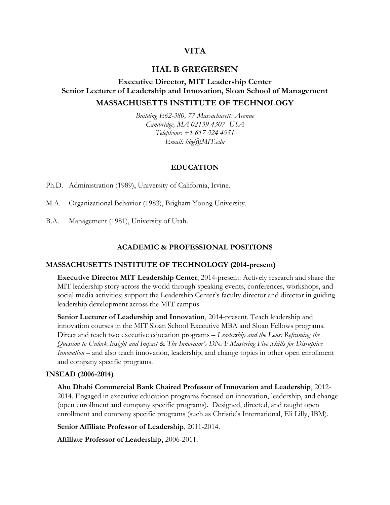# **VITA**

# **HAL B GREGERSEN**

# **Executive Director, MIT Leadership Center Senior Lecturer of Leadership and Innovation, Sloan School of Management MASSACHUSETTS INSTITUTE OF TECHNOLOGY**

*Building E62-380, 77 Massachusetts Avenue Cambridge, MA 02139-4307 USA Telephone: +1 617 324 4951 Email: hbg@MIT.edu*

#### **EDUCATION**

Ph.D. Administration (1989), University of California, Irvine.

M.A. Organizational Behavior (1983), Brigham Young University.

B.A. Management (1981), University of Utah.

## **ACADEMIC & PROFESSIONAL POSITIONS**

#### **MASSACHUSETTS INSTITUTE OF TECHNOLOGY (2014-present)**

**Executive Director MIT Leadership Center**, 2014-present. Actively research and share the MIT leadership story across the world through speaking events, conferences, workshops, and social media activities; support the Leadership Center's faculty director and director in guiding leadership development across the MIT campus.

**Senior Lecturer of Leadership and Innovation**, 2014-present. Teach leadership and innovation courses in the MIT Sloan School Executive MBA and Sloan Fellows programs. Direct and teach two executive education programs – *Leadership and the Lens: Reframing the Question to Unlock Insight and Impact* & *The Innovator's DNA: Mastering Five Skills for Disruptive Innovation* – and also teach innovation, leadership, and change topics in other open enrollment and company specific programs.

#### **INSEAD (2006-2014)**

**Abu Dhabi Commercial Bank Chaired Professor of Innovation and Leadership**, 2012- 2014. Engaged in executive education programs focused on innovation, leadership, and change (open enrollment and company specific programs). Designed, directed, and taught open enrollment and company specific programs (such as Christie's International, Eli Lilly, IBM).

**Senior Affiliate Professor of Leadership**, 2011-2014.

**Affiliate Professor of Leadership,** 2006-2011.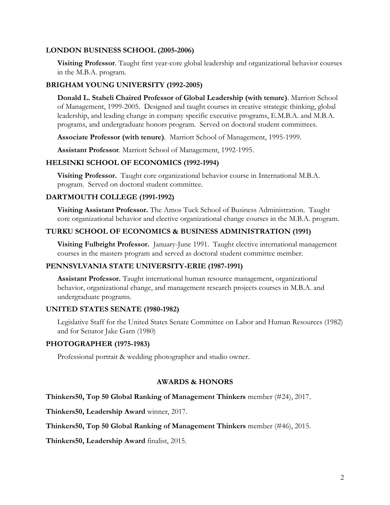### **LONDON BUSINESS SCHOOL (2005-2006)**

**Visiting Professor**. Taught first year-core global leadership and organizational behavior courses in the M.B.A. program.

### **BRIGHAM YOUNG UNIVERSITY (1992-2005)**

**Donald L. Staheli Chaired Professor of Global Leadership (with tenure)**. Marriott School of Management, 1999-2005. Designed and taught courses in creative strategic thinking, global leadership, and leading change in company specific executive programs, E.M.B.A. and M.B.A. programs, and undergraduate honors program. Served on doctoral student committees.

**Associate Professor (with tenure)**. Marriott School of Management, 1995-1999.

**Assistant Professor**. Marriott School of Management, 1992-1995.

### **HELSINKI SCHOOL OF ECONOMICS (1992-1994)**

**Visiting Professor.** Taught core organizational behavior course in International M.B.A. program. Served on doctoral student committee.

#### **DARTMOUTH COLLEGE (1991-1992)**

**Visiting Assistant Professor.** The Amos Tuck School of Business Administration. Taught core organizational behavior and elective organizational change courses in the M.B.A. program.

### **TURKU SCHOOL OF ECONOMICS & BUSINESS ADMINISTRATION (1991)**

**Visiting Fulbright Professor.** January-June 1991. Taught elective international management courses in the masters program and served as doctoral student committee member.

### **PENNSYLVANIA STATE UNIVERSITY-ERIE (1987-1991)**

**Assistant Professor.** Taught international human resource management, organizational behavior, organizational change, and management research projects courses in M.B.A. and undergraduate programs.

#### **UNITED STATES SENATE (1980-1982)**

Legislative Staff for the United States Senate Committee on Labor and Human Resources (1982) and for Senator Jake Garn (1980)

### **PHOTOGRAPHER (1975-1983)**

Professional portrait & wedding photographer and studio owner.

#### **AWARDS & HONORS**

**Thinkers50, Top 50 Global Ranking of Management Thinkers** member (#24), 2017.

**Thinkers50, Leadership Award** winner, 2017.

**Thinkers50, Top 50 Global Ranking of Management Thinkers** member (#46), 2015.

**Thinkers50, Leadership Award** finalist, 2015.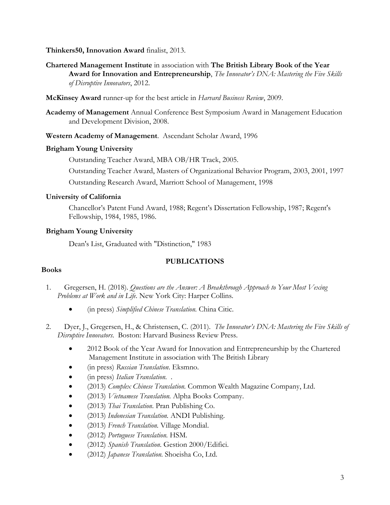### **Thinkers50, Innovation Award** finalist, 2013.

- **Chartered Management Institute** in association with **The British Library Book of the Year Award for Innovation and Entrepreneurship**, *The Innovator's DNA: Mastering the Five Skills of Disruptive Innovators*, 2012.
- **McKinsey Award** runner-up for the best article in *Harvard Business Review*, 2009.
- **Academy of Management** Annual Conference Best Symposium Award in Management Education and Development Division, 2008.
- **Western Academy of Management**. Ascendant Scholar Award, 1996

### **Brigham Young University**

Outstanding Teacher Award, MBA OB/HR Track, 2005.

Outstanding Teacher Award, Masters of Organizational Behavior Program, 2003, 2001, 1997

Outstanding Research Award, Marriott School of Management, 1998

### **University of California**

Chancellor's Patent Fund Award, 1988; Regent's Dissertation Fellowship, 1987; Regent's Fellowship, 1984, 1985, 1986.

## **Brigham Young University**

Dean's List, Graduated with "Distinction," 1983

## **PUBLICATIONS**

## **Books**

- 1. Gregersen, H. (2018). *Questions are the Answer: A Breakthrough Approach to Your Most Vexing Problems at Work and in Life*. New York City: Harper Collins.
	- (in press) *Simplified Chinese Translation.* China Citic.
- 2. Dyer, J., Gregersen, H., & Christensen, C. (2011). *The Innovator's DNA: Mastering the Five Skills of Disruptive Innovators*. Boston: Harvard Business Review Press.
	- 2012 Book of the Year Award for Innovation and Entrepreneurship by the Chartered Management Institute in association with The British Library
	- (in press) *Russian Translation*. Eksmno.
	- (in press) *Italian Translation*. .
	- (2013) *Complex Chinese Translation.* Common Wealth Magazine Company, Ltd.
	- (2013) *Vietnamese Translation.* Alpha Books Company.
	- (2013) *Thai Translation*. Pran Publishing Co.
	- (2013) *Indonesian Translation.* ANDI Publishing.
	- (2013) *French Translation.* Village Mondial.
	- (2012) *Portuguese Translation.* HSM.
	- (2012) *Spanish Translation.* Gestion 2000/Edifici.
	- (2012) *Japanese Translation.* Shoeisha Co, Ltd.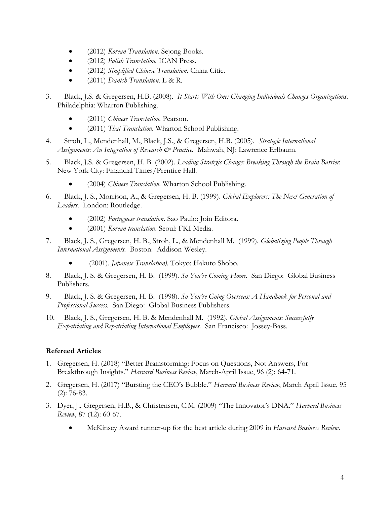- (2012) *Korean Translation.* Sejong Books.
- (2012) *Polish Translation.* ICAN Press.
- (2012) *Simplified Chinese Translation.* China Citic.
- (2011) *Danish Translation.* L & R.
- 3. Black, J.S. & Gregersen, H.B. (2008). *It Starts With One: Changing Individuals Changes Organizations*. Philadelphia: Wharton Publishing.
	- (2011) *Chinese Translation.* Pearson.
	- (2011) *Thai Translation.* Wharton School Publishing.
- 4. Stroh, L., Mendenhall, M., Black, J.S., & Gregersen, H.B. (2005). *Strategic International Assignments: An Integration of Research & Practice.* Mahwah, NJ: Lawrence Erlbaum.
- 5. Black, J.S. & Gregersen, H. B. (2002). *Leading Strategic Change: Breaking Through the Brain Barrier.*  New York City: Financial Times/Prentice Hall.
	- (2004) *Chinese Translation.* Wharton School Publishing.
- 6. Black, J. S., Morrison, A., & Gregersen, H. B. (1999). *Global Explorers: The Next Generation of Leaders*. London: Routledge.
	- (2002) *Portuguese translation*. Sao Paulo: Join Editora.
	- (2001) *Korean translation*. Seoul: FKI Media.
- 7. Black, J. S., Gregersen, H. B., Stroh, L., & Mendenhall M. (1999). *Globalizing People Through International Assignments.* Boston: Addison-Wesley.
	- (2001). *Japanese Translation).* Tokyo: Hakuto Shobo.
- 8. Black, J. S. & Gregersen, H. B. (1999). *So You're Coming Home.* San Diego: Global Business Publishers.
- 9. Black, J. S. & Gregersen, H. B. (1998). *So You're Going Overseas: A Handbook for Personal and Professional Success.* San Diego: Global Business Publishers.
- 10. Black, J. S., Gregersen, H. B. & Mendenhall M. (1992). *Global Assignments: Successfully Expatriating and Repatriating International Employees.* San Francisco: Jossey-Bass.

## **Refereed Articles**

- 1. Gregersen, H. (2018) "Better Brainstorming: Focus on Questions, Not Answers, For Breakthrough Insights." *Harvard Business Review*, March-April Issue, 96 (2): 64-71.
- 2. Gregersen, H. (2017) "Bursting the CEO's Bubble." *Harvard Business Review*, March April Issue, 95 (2): 76-83.
- 3. Dyer, J., Gregersen, H.B., & Christensen, C.M. (2009) "The Innovator's DNA." *Harvard Business Review*, 87 (12): 60-67.
	- McKinsey Award runner-up for the best article during 2009 in *Harvard Business Review*.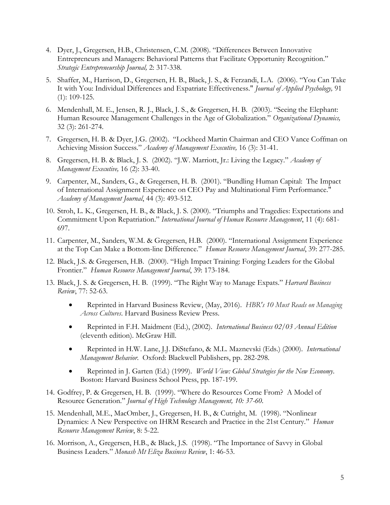- 4. Dyer, J., Gregersen, H.B., Christensen, C.M. (2008). "Differences Between Innovative Entrepreneurs and Managers: Behavioral Patterns that Facilitate Opportunity Recognition." *Strategic Entrepreneurship Journal,* 2: 317-338*.*
- 5. Shaffer, M., Harrison, D., Gregersen, H. B., Black, J. S., & Ferzandi, L.A. (2006). "You Can Take It with You: Individual Differences and Expatriate Effectiveness." *Journal of Applied Psychology,* 91 (1): 109-125*.*
- 6. Mendenhall, M. E., Jensen, R. J., Black, J. S., & Gregersen, H. B. (2003). "Seeing the Elephant: Human Resource Management Challenges in the Age of Globalization." *Organizational Dynamics,* 32 (3): 261-274.
- 7. Gregersen, H. B. & Dyer, J.G. (2002). "Lockheed Martin Chairman and CEO Vance Coffman on Achieving Mission Success." *Academy of Management Executive,* 16 (3): 31-41.
- 8. Gregersen, H. B. & Black, J. S. (2002). "J.W. Marriott, Jr.: Living the Legacy." *Academy of Management Executive,* 16 (2): 33-40.
- 9. Carpenter, M., Sanders, G., & Gregersen, H. B. (2001). "Bundling Human Capital: The Impact of International Assignment Experience on CEO Pay and Multinational Firm Performance." *Academy of Management Journal*, 44 (3): 493-512.
- 10. Stroh, L. K., Gregersen, H. B., & Black, J. S. (2000). "Triumphs and Tragedies: Expectations and Commitment Upon Repatriation." *International Journal of Human Resource Management*, 11 (4): 681- 697.
- 11. Carpenter, M., Sanders, W.M. & Gregersen, H.B. (2000). "International Assignment Experience at the Top Can Make a Bottom-line Difference." *Human Resource Management Journal*, 39: 277-285.
- 12. Black, J.S. & Gregersen, H.B. (2000). "High Impact Training: Forging Leaders for the Global Frontier." *Human Resource Management Journal*, 39: 173-184.
- 13. Black, J. S. & Gregersen, H. B. (1999). "The Right Way to Manage Expats." *Harvard Business Review*, 77: 52-63.
	- Reprinted in Harvard Business Review, (May, 2016). *HBR's 10 Must Reads on Managing Across Cultures*. Harvard Business Review Press.
	- Reprinted in F.H. Maidment (Ed.), (2002). *International Business 02/03 Annual Edition* (eleventh edition). McGraw Hill.
	- Reprinted in H.W. Lane, J.J. DiStefano, & M.L. Maznevski (Eds.) (2000). *International Management Behavior*. Oxford: Blackwell Publishers, pp. 282-298.
	- Reprinted in J. Garten (Ed.) (1999). *World View: Global Strategies for the New Economy*. Boston: Harvard Business School Press, pp. 187-199.
- 14. Godfrey, P. & Gregersen, H. B. (1999). "Where do Resources Come From? A Model of Resource Generation." *Journal of High Technology Management, 10: 37-60.*
- 15. Mendenhall, M.E., MacOmber, J., Gregersen, H. B., & Cutright, M. (1998). "Nonlinear Dynamics: A New Perspective on IHRM Research and Practice in the 21st Century." *Human Resource Management Review*, 8: 5-22.
- 16. Morrison, A., Gregersen, H.B., & Black, J.S. (1998). "The Importance of Savvy in Global Business Leaders." *Monash Mt Eliza Business Review*, 1: 46-53.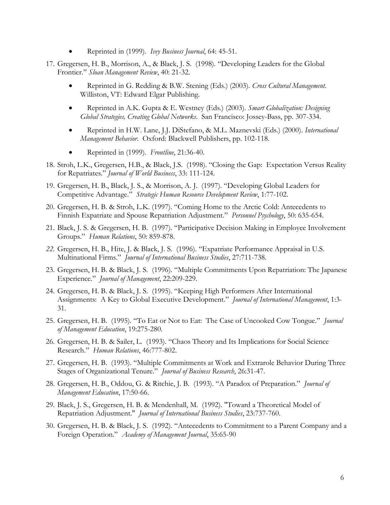- Reprinted in (1999). *Ivey Business Journal*, 64: 45-51.
- 17. Gregersen, H. B., Morrison, A., & Black, J. S. (1998). "Developing Leaders for the Global Frontier." *Sloan Management Review*, 40: 21-32.
	- Reprinted in G. Redding & B.W. Stening (Eds.) (2003). *Cross Cultural Management.*  Williston, VT: Edward Elgar Publishing.
	- Reprinted in A.K. Gupta & E. Westney (Eds.) (2003). *Smart Globalization: Designing Global Strategies, Creating Global Networks*. San Francisco: Jossey-Bass, pp. 307-334.
	- Reprinted in H.W. Lane, J.J. DiStefano, & M.L. Maznevski (Eds.) (2000). *International Management Behavior*. Oxford: Blackwell Publishers, pp. 102-118.
	- Reprinted in (1999). *Frontline*, 21:36-40.
- 18. Stroh, L.K., Gregersen, H.B., & Black, J.S. (1998). "Closing the Gap: Expectation Versus Reality for Repatriates." *Journal of World Business*, 33: 111-124.
- 19. Gregersen, H. B., Black, J. S., & Morrison, A. J. (1997). "Developing Global Leaders for Competitive Advantage." *Strategic Human Resource Development Review*, 1:77-102.
- 20. Gregersen, H. B. & Stroh, L.K. (1997). "Coming Home to the Arctic Cold: Antecedents to Finnish Expatriate and Spouse Repatriation Adjustment." *Personnel Psychology*, 50: 635-654.
- 21. Black, J. S. & Gregersen, H. B. (1997). "Participative Decision Making in Employee Involvement Groups." *Human Relations*, 50: 859-878.
- *22.* Gregersen, H. B., Hite, J. & Black, J. S. (1996). "Expatriate Performance Appraisal in U.S. Multinational Firms." *Journal of International Business Studies*, 27:711-738.
- 23. Gregersen, H. B. & Black, J. S. (1996). "Multiple Commitments Upon Repatriation: The Japanese Experience." *Journal of Management*, 22:209-229.
- 24. Gregersen, H. B. & Black, J. S. (1995). "Keeping High Performers After International Assignments: A Key to Global Executive Development." *Journal of International Management*, 1:3- 31.
- 25. Gregersen, H. B. (1995). "To Eat or Not to Eat: The Case of Uncooked Cow Tongue." *Journal of Management Education*, 19:275-280.
- 26. Gregersen, H. B. & Sailer, L. (1993). "Chaos Theory and Its Implications for Social Science Research." *Human Relations*, 46:777-802.
- 27. Gregersen, H. B. (1993). "Multiple Commitments at Work and Extrarole Behavior During Three Stages of Organizational Tenure." *Journal of Business Research*, 26:31-47.
- 28. Gregersen, H. B., Oddou, G. & Ritchie, J. B. (1993). "A Paradox of Preparation." *Journal of Management Education*, 17:50-66.
- 29. Black, J. S., Gregersen, H. B. & Mendenhall, M. (1992). "Toward a Theoretical Model of Repatriation Adjustment." *Journal of International Business Studies*, 23:737-760.
- 30. Gregersen, H. B. & Black, J. S. (1992). "Antecedents to Commitment to a Parent Company and a Foreign Operation." *Academy of Management Journal*, 35:65-90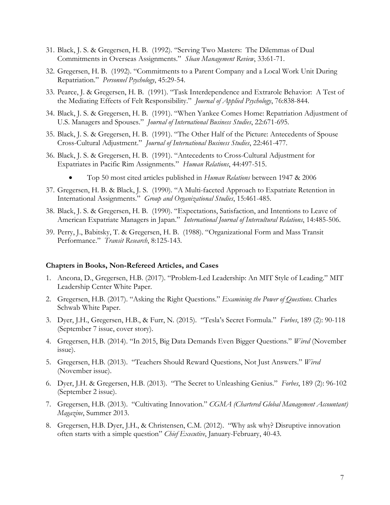- 31. Black, J. S. & Gregersen, H. B. (1992). "Serving Two Masters: The Dilemmas of Dual Commitments in Overseas Assignments." *Sloan Management Review*, 33:61-71.
- 32. Gregersen, H. B. (1992). "Commitments to a Parent Company and a Local Work Unit During Repatriation." *Personnel Psychology*, 45:29-54.
- 33. Pearce, J. & Gregersen, H. B. (1991). "Task Interdependence and Extrarole Behavior: A Test of the Mediating Effects of Felt Responsibility." *Journal of Applied Psychology*, 76:838-844.
- 34. Black, J. S. & Gregersen, H. B. (1991). "When Yankee Comes Home: Repatriation Adjustment of U.S. Managers and Spouses." *Journal of International Business Studies*, 22:671-695.
- 35. Black, J. S. & Gregersen, H. B. (1991). "The Other Half of the Picture: Antecedents of Spouse Cross-Cultural Adjustment." *Journal of International Business Studies*, 22:461-477.
- 36. Black, J. S. & Gregersen, H. B. (1991). "Antecedents to Cross-Cultural Adjustment for Expatriates in Pacific Rim Assignments." *Human Relations*, 44:497-515.
	- Top 50 most cited articles published in *Human Relations* between 1947 & 2006
- 37. Gregersen, H. B. & Black, J. S. (1990). "A Multi-faceted Approach to Expatriate Retention in International Assignments." *Group and Organizational Studies*, 15:461-485.
- 38. Black, J. S. & Gregersen, H. B. (1990). "Expectations, Satisfaction, and Intentions to Leave of American Expatriate Managers in Japan." *International Journal of Intercultural Relations*, 14:485-506.
- 39. Perry, J., Babitsky, T. & Gregersen, H. B. (1988). "Organizational Form and Mass Transit Performance." *Transit Research*, 8:125-143.

#### **Chapters in Books, Non-Refereed Articles, and Cases**

- 1. Ancona, D., Gregersen, H.B. (2017). "Problem-Led Leadership: An MIT Style of Leading." MIT Leadership Center White Paper.
- 2. Gregersen, H.B. (2017). "Asking the Right Questions." *Examining the Power of Questions*. Charles Schwab White Paper.
- 3. Dyer, J.H., Gregersen, H.B., & Furr, N. (2015). "Tesla's Secret Formula." *Forbes*, 189 (2): 90-118 (September 7 issue, cover story).
- 4. Gregersen, H.B. (2014). "In 2015, Big Data Demands Even Bigger Questions." *Wired* (November issue).
- 5. Gregersen, H.B. (2013). "Teachers Should Reward Questions, Not Just Answers." *Wired* (November issue).
- 6. Dyer, J.H. & Gregersen, H.B. (2013). "The Secret to Unleashing Genius." *Forbes*, 189 (2): 96-102 (September 2 issue).
- 7. Gregersen, H.B. (2013). "Cultivating Innovation." *CGMA (Chartered Global Management Accountant) Magazine*, Summer 2013.
- 8. Gregersen, H.B. Dyer, J.H., & Christensen, C.M. (2012). "Why ask why? Disruptive innovation often starts with a simple question" *Chief Executive*, January-February, 40-43.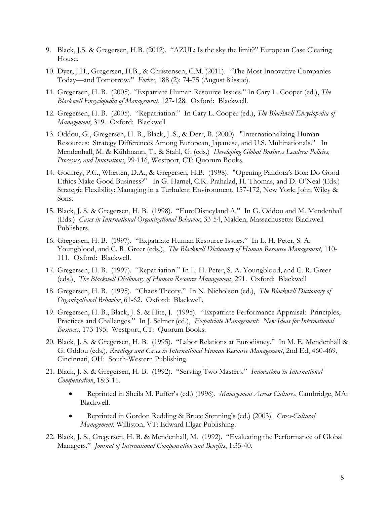- 9. Black, J.S. & Gregersen, H.B. (2012). "AZUL: Is the sky the limit?" European Case Clearing House.
- 10. Dyer, J.H., Gregersen, H.B., & Christensen, C.M. (2011). "The Most Innovative Companies Today—and Tomorrow." *Forbes*, 188 (2): 74-75 (August 8 issue).
- 11. Gregersen, H. B. (2005). "Expatriate Human Resource Issues." In Cary L. Cooper (ed.), *The Blackwell Encyclopedia of Management*, 127-128. Oxford: Blackwell.
- 12. Gregersen, H. B. (2005). "Repatriation." In Cary L. Cooper (ed.), *The Blackwell Encyclopedia of Management*, 319. Oxford: Blackwell
- 13. Oddou, G., Gregersen, H. B., Black, J. S., & Derr, B. (2000). "Internationalizing Human Resources: Strategy Differences Among European, Japanese, and U.S. Multinationals." In Mendenhall, M. & Kühlmann, T., & Stahl, G. (eds.) *Developing Global Business Leaders: Policies, Processes, and Innovations*, 99-116, Westport, CT: Quorum Books.
- 14. Godfrey, P.C., Whetten, D.A., & Gregersen, H.B. (1998). "Opening Pandora's Box: Do Good Ethics Make Good Business?" In G. Hamel, C.K. Prahalad, H. Thomas, and D. O'Neal (Eds.) Strategic Flexibility: Managing in a Turbulent Environment, 157-172, New York: John Wiley & Sons.
- 15. Black, J. S. & Gregersen, H. B. (1998). "EuroDisneyland A." In G. Oddou and M. Mendenhall (Eds.) *Cases in International Organizational Behavior*, 33-54, Malden, Massachusetts: Blackwell Publishers.
- 16. Gregersen, H. B. (1997). "Expatriate Human Resource Issues." In L. H. Peter, S. A. Youngblood, and C. R. Greer (eds.), *The Blackwell Dictionary of Human Resource Management*, 110- 111. Oxford: Blackwell.
- 17. Gregersen, H. B. (1997). "Repatriation." In L. H. Peter, S. A. Youngblood, and C. R. Greer (eds.), *The Blackwell Dictionary of Human Resource Management*, 291. Oxford: Blackwell
- 18. Gregersen, H. B. (1995). "Chaos Theory." In N. Nicholson (ed.), *The Blackwell Dictionary of Organizational Behavior*, 61-62. Oxford: Blackwell.
- 19. Gregersen, H. B., Black, J. S. & Hite, J. (1995). "Expatriate Performance Appraisal: Principles, Practices and Challenges." In J. Selmer (ed.), *Expatriate Management: New Ideas for International Business*, 173-195. Westport, CT: Quorum Books.
- 20. Black, J. S. & Gregersen, H. B. (1995). "Labor Relations at Eurodisney." In M. E. Mendenhall & G. Oddou (eds.), *Readings and Cases in International Human Resource Management*, 2nd Ed, 460-469, Cincinnati, OH: South-Western Publishing.
- 21. Black, J. S. & Gregersen, H. B. (1992). "Serving Two Masters." *Innovations in International Compensation*, 18:3-11.
	- Reprinted in Sheila M. Puffer's (ed.) (1996). *Management Across Cultures*, Cambridge, MA: Blackwell.
	- Reprinted in Gordon Redding & Bruce Stenning's (ed.) (2003). *Cross-Cultural Management.* Williston, VT: Edward Elgar Publishing.
- 22. Black, J. S., Gregersen, H. B. & Mendenhall, M. (1992). "Evaluating the Performance of Global Managers." *Journal of International Compensation and Benefits*, 1:35-40.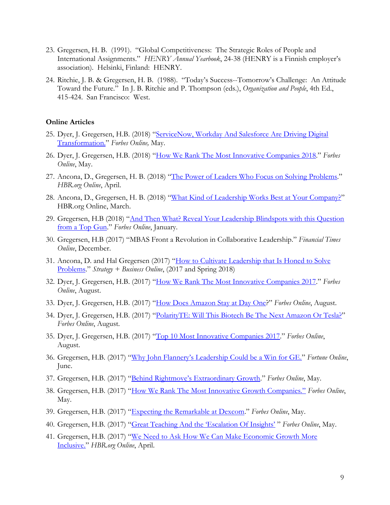- 23. Gregersen, H. B. (1991). "Global Competitiveness: The Strategic Roles of People and International Assignments." *HENRY Annual Yearbook*, 24-38 (HENRY is a Finnish employer's association). Helsinki, Finland: HENRY.
- 24. Ritchie, J. B. & Gregersen, H. B. (1988). "Today's Success--Tomorrow's Challenge: An Attitude Toward the Future." In J. B. Ritchie and P. Thompson (eds.), *Organization and People*, 4th Ed., 415-424. San Francisco: West.

#### **Online Articles**

- 25. Dyer, J. Gregersen, H.B. (2018) "ServiceNow, Workday And Salesforce Are Driving Digital [Transformation.](https://www.forbes.com/sites/innovatorsdna/2018/05/29/servicenow-workday-and-salesforce-are-driving-digital-transformation/#71355625313b)" *Forbes Online,* May.
- 26. Dyer, J. Gregersen, H.B. (2018) "[How We Rank The Most Innovative Companies 2018](https://www.forbes.com/sites/innovatorsdna/2018/05/29/how-we-rank-the-most-innovative-companies-2018/#2ac70fbc1e3c)." *Forbes Online*, May.
- 27. Ancona, D., Gregersen, H. B. (2018) "[The Power of Leaders Who Focus on Solving Problems](https://hbr.org/2018/04/the-power-of-leaders-who-focus-on-solving-problems)." *HBR.org Online*, April.
- 28. Ancona, D., Gregersen, H. B. (2018) "[What Kind of Leadership Works Best at Your Company?](https://hbr.org/2018/03/what-kind-of-leadership-works-best-at-your-company)" HBR.org Online, March.
- 29. Gregersen, H.B (2018) "And Then What? Reveal Your Leadership Blindspots with this Question [from a Top Gun](https://www.forbes.com/sites/halgregersen/2018/01/03/and-then-what-reveal-your-leadership-blindspots-with-this-question-from-a-top-gun/#4152244723f7)." *Forbes Online*, January.
- 30. Gregersen, H.B (2017) "MBAS Front a Revolution in Collaborative Leadership." *Financial Times Online*, December.
- 31. Ancona, D. and Hal Gregersen (2017) "[How to Cultivate Leadership that Is Honed to Solve](https://www.strategy-business.com/article/How-to-Cultivate-Leadership-That-Is-Honed-to-Solve-Problems?gko=6eab0)  [Problems](https://www.strategy-business.com/article/How-to-Cultivate-Leadership-That-Is-Honed-to-Solve-Problems?gko=6eab0)." *Strategy + Business Online*, (2017 and Spring 2018)
- 32. Dyer, J. Gregersen, H.B. (2017) "[How We Rank The Most Innovative Companies 2017](https://www.forbes.com/sites/innovatorsdna/2017/08/08/how-we-rank-the-most-innovative-companies-2017/#f13ee9d5c46d)." *Forbes Online*, August.
- 33. Dyer, J. Gregersen, H.B. (2017) "[How Does Amazon Stay at Day One](https://www.forbes.com/sites/innovatorsdna/2017/08/08/how-does-amazon-stay-at-day-one/#2e5442397e4d)?" *Forbes Online*, August.
- 34. Dyer, J. Gregersen, H.B. (2017) "[PolarityTE: Will This Biotech Be The Next Amazon Or Tesla?](https://www.forbes.com/sites/innovatorsdna/2017/08/08/polarityte-will-this-biotech-be-the-next-amazon-or-tesla/#51d11850363a)" *Forbes Online*, August.
- 35. Dyer, J. Gregersen, H.B. (2017) "[Top 10 Most Innovative Companies 2017](https://www.forbes.com/pictures/5988583731358e60d7758352/clone-of-top-25-most-inno/#52d02cd41f3f)." *Forbes Online*, August.
- 36. Gregersen, H.B. (2017) ["Why John Flannery's Leadership Could be a Win for GE."](http://fortune.com/2017/06/15/ge-jeff-immelt-john-flannery/?utm_content=buffer8d699&utm_medium=social&utm_source=twitter.com&utm_campaign=buffer) *Fortune Online*, June.
- 37. Gregersen, H.B. (2017) "Behind Rightmove's [Extraordinary Growth](https://www.forbes.com/sites/halgregersen/2017/05/17/behind-rightmoves-extraordinary-growth/#318a9c257d74)." *Forbes Online*, May.
- 38. Gregersen, H.B. (2017) ["How We Rank The Most Innovative Growth Companies."](https://www.forbes.com/sites/halgregersen/2017/05/17/how-we-rank-the-most-innovative-growth-companies/#6c2b32b76084) *Forbes Online*, May.
- 39. Gregersen, H.B. (2017) "[Expecting the Remarkable at Dexcom](https://www.forbes.com/sites/halgregersen/2017/05/17/expecting-the-remarkable-at-dexcom/#34bb4f796d3c)." *Forbes Online*, May.
- 40. Gregersen, H.B. (2017) ["Great Teaching And the 'Escalation Of Insights'](https://www.forbes.com/sites/halgregersen/2017/05/11/great-teaching-and-the-escalation-of-insights/#3dcc8b4f681f) " *Forbes Online*, May.
- 41. Gregersen, H.B. (2017) "We Need to [Ask How We Can Make Economic Growth More](https://hbr.org/2017/04/we-need-to-ask-how-we-can-make-economic-growth-more-inclusive)  [Inclusive.](https://hbr.org/2017/04/we-need-to-ask-how-we-can-make-economic-growth-more-inclusive)" *HBR.org Online*, April.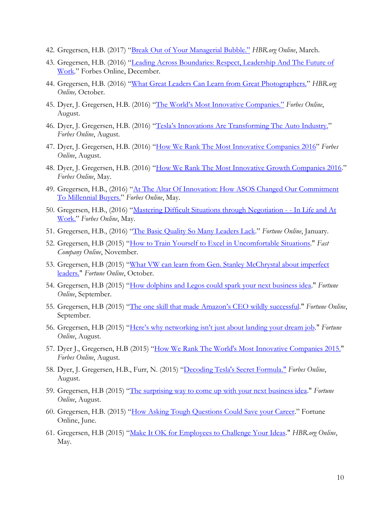- 42. Gregersen, H.B. (2017) ["Break Out of Your Managerial Bubble."](https://hbr.org/ideacast/2017/03/break-out-of-your-managerial-bubble) *HBR.org Online*, March.
- 43. Gregersen, H.B. (2016) "Leading Across Boundaries: Respect, Leadership And The Future of [Work](https://www.forbes.com/sites/halgregersen/2016/12/02/leading-across-boundaries-respect-leadership-and-the-future-of-work/#11a600185794)." Forbes Online, December.
- 44. Gregersen, H.B. (2016) "[What Great Leaders Can Learn from Great Photographers.](https://hbr.org/2016/10/what-great-leaders-can-learn-from-great-photographers)" *HBR.org Online,* October.
- 45. Dyer, J. Gregersen, H.B. (2016) ["The World's Most Innovative Companies."](https://www.forbes.com/search/?q=hal%20gregersen#71da12cb279f) *Forbes Online*, August.
- 46. Dyer, J. Gregersen, H.B. (2016) ["Tesla's Innovations Are Transforming The Auto Industry."](https://www.forbes.com/sites/innovatorsdna/2016/08/24/teslas-innovations-are-transforming-the-auto-industry/#467286a519f7) *Forbes Online*, August.
- 47. Dyer, J. Gregersen, H.B. (2016) "[How We Rank The Most Innovative Companies 2016](https://www.forbes.com/sites/innovatorsdna/2016/08/24/how-we-rank-the-most-innovative-companies-2016/#162cbf355506)" *Forbes Online*, August.
- 48. Dyer, J. Gregersen, H.B. (2016) "[How We Rank The Most Innovative Growth Companies 2016](https://www.forbes.com/sites/innovatorsdna/2016/05/18/how-we-rank-the-most-innovative-mid-cap-companies-2016/#209e8c6f2270)." *Forbes Online*, May.
- 49. Gregersen, H.B., (2016) "[At The Altar Of Innovation: How ASOS Changed Our Commitment](https://www.forbes.com/sites/halgregersen/2016/05/18/at-the-altar-of-innovation-how-asos-changed-our-commitment-to-millennial-buyers/#1a36f4ea3783)  [To Millennial Buyers.](https://www.forbes.com/sites/halgregersen/2016/05/18/at-the-altar-of-innovation-how-asos-changed-our-commitment-to-millennial-buyers/#1a36f4ea3783)" *Forbes Online*, May.
- 50. Gregersen, H.B., (2016) "[Mastering Difficult Situations through](https://www.forbes.com/sites/halgregersen/2016/05/02/mastering-difficult-situations-through-negotiation-in-life-and-at-work/#75e8c06953c1) Negotiation - In Life and At [Work.](https://www.forbes.com/sites/halgregersen/2016/05/02/mastering-difficult-situations-through-negotiation-in-life-and-at-work/#75e8c06953c1)" *Forbes Online*, May.
- 51. Gregersen, H.B., (2016) "[The Basic Quality So Many Leaders Lack](http://fortune.com/2016/01/07/quality-leaders-lack/)." *Fortune Online*, January.
- 52. Gregersen, H.B (2015) "[How to Train Yourself to Excel in Uncomfortable Situations.](https://www.fastcompany.com/3052992/how-to-train-yourself-to-excel-in-uncomfortable-situations)" *Fast Company Online*, November.
- 53. Gregersen, H.B (2015) "[What VW can learn from Gen. Stanley McChrystal about imperfect](http://fortune.com/2015/10/14/volkswagen-emissions-scandal-general-stanley-mcchrystal-leadership/)  [leaders."](http://fortune.com/2015/10/14/volkswagen-emissions-scandal-general-stanley-mcchrystal-leadership/) *Fortune Online*, October.
- 54. Gregersen, H.B (2015) "[How dolphins and Legos could spark your next business idea.](http://fortune.com/2015/09/23/larry-page-steve-jobs-walt-disney-business-ideas/)" *Fortune Online*, September.
- 55. Gregersen, H.B (2015) ["The one skill that made Amazon's CEO wildly successful](http://fortune.com/2015/09/17/amazon-founder-ceo-jeff-bezos-skills/)." *Fortune Online*, September.
- 56. Gregersen, H.B (2015) ["Here's why networking isn't just about landing your dream job](http://fortune.com/2015/08/25/career-networking-salesforce-amazon/)." *Fortune Online*, August.
- 57. Dyer J., Gregersen, H.B (2015) "[How We Rank The World's Most Innovative Companies 2015."](https://www.forbes.com/sites/innovatorsdna/2015/08/19/how-we-rank-the-worlds-most-innovative-companies-2015/#613a563b5f8c) *Forbes Online*, August.
- 58. Dyer, J. Gregersen, H.B., Furr, N. (2015) "[Decoding Tesla's Secret Formula."](https://www.forbes.com/sites/innovatorsdna/2015/08/19/teslas-secret-formula/#7f2fc32e653c) *Forbes Online*, August.
- 59. Gregersen, H.B (2015) "[The surprising way to come up with your next business idea.](http://fortune.com/2015/08/07/intuit-twinings-ge-innovation/)" *Fortune Online*, August.
- 60. Gregersen, H.B. (2015) "[How Asking Tough Questions Could Save your Career](http://fortune.com/2015/06/24/how-asking-tough-questions-could-save-your-career/)." Fortune Online, June.
- 61. Gregersen, H.B (2015) "[Make It OK for Employees to Challenge Your Ideas.](https://hbr.org/2015/05/make-it-ok-for-employees-to-challenge-your-ideas)" *HBR.org Online*, May.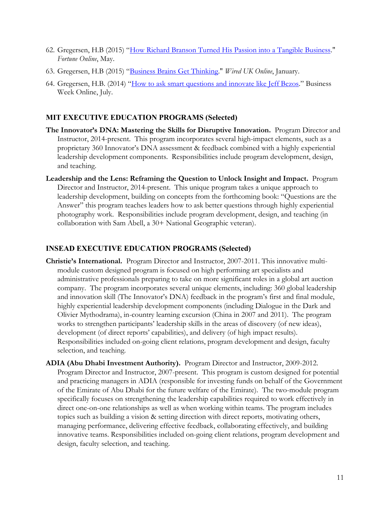- 62. Gregersen, H.B (2015) "[How Richard Branson Turned His Passion into a Tangible Business.](http://fortune.com/2015/05/12/how-richard-branson-turned-his-passion-into-a-tangible-business/)" *Fortune Online*, May.
- 63. Gregersen, H.B (2015) "[Business Brains Get Thinking.](http://halgregersen.com/wp-content/uploads/2014/11/Wired-World-in-2015.pdf)" *Wired UK Online*, January.
- 64. Gregersen, H.B. (2014) "[How to ask smart questions and innovate like Jeff Bezos](http://www.businessweek.com/articles/2014-07-08/how-to-ask-smart-questions-and-innovate-like-jeff-bezos)." Business Week Online, July.

# **MIT EXECUTIVE EDUCATION PROGRAMS (Selected)**

- **The Innovator's DNA: Mastering the Skills for Disruptive Innovation.** Program Director and Instructor, 2014-present. This program incorporates several high-impact elements, such as a proprietary 360 Innovator's DNA assessment & feedback combined with a highly experiential leadership development components. Responsibilities include program development, design, and teaching.
- **Leadership and the Lens: Reframing the Question to Unlock Insight and Impact.** Program Director and Instructor, 2014-present. This unique program takes a unique approach to leadership development, building on concepts from the forthcoming book: "Questions are the Answer" this program teaches leaders how to ask better questions through highly experiential photography work. Responsibilities include program development, design, and teaching (in collaboration with Sam Abell, a 30+ National Geographic veteran).

# **INSEAD EXECUTIVE EDUCATION PROGRAMS (Selected)**

- **Christie's International.** Program Director and Instructor, 2007-2011. This innovative multimodule custom designed program is focused on high performing art specialists and administrative professionals preparing to take on more significant roles in a global art auction company. The program incorporates several unique elements, including: 360 global leadership and innovation skill (The Innovator's DNA) feedback in the program's first and final module, highly experiential leadership development components (including Dialogue in the Dark and Olivier Mythodrama), in-country learning excursion (China in 2007 and 2011). The program works to strengthen participants' leadership skills in the areas of discovery (of new ideas), development (of direct reports' capabilities), and delivery (of high impact results). Responsibilities included on-going client relations, program development and design, faculty selection, and teaching.
- **ADIA (Abu Dhabi Investment Authority).** Program Director and Instructor, 2009-2012. Program Director and Instructor, 2007-present. This program is custom designed for potential and practicing managers in ADIA (responsible for investing funds on behalf of the Government of the Emirate of Abu Dhabi for the future welfare of the Emirate). The two-module program specifically focuses on strengthening the leadership capabilities required to work effectively in direct one-on-one relationships as well as when working within teams. The program includes topics such as building a vision & setting direction with direct reports, motivating others, managing performance, delivering effective feedback, collaborating effectively, and building innovative teams. Responsibilities included on-going client relations, program development and design, faculty selection, and teaching.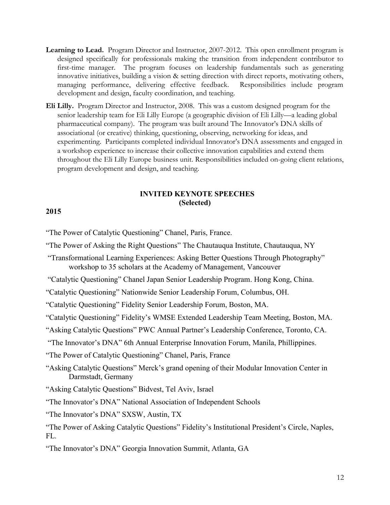- **Learning to Lead.** Program Director and Instructor, 2007-2012. This open enrollment program is designed specifically for professionals making the transition from independent contributor to first-time manager. The program focuses on leadership fundamentals such as generating innovative initiatives, building a vision & setting direction with direct reports, motivating others, managing performance, delivering effective feedback. Responsibilities include program development and design, faculty coordination, and teaching.
- **Eli Lilly.** Program Director and Instructor, 2008. This was a custom designed program for the senior leadership team for Eli Lilly Europe (a geographic division of Eli Lilly—a leading global pharmaceutical company). The program was built around The Innovator's DNA skills of associational (or creative) thinking, questioning, observing, networking for ideas, and experimenting. Participants completed individual Innovator's DNA assessments and engaged in a workshop experience to increase their collective innovation capabilities and extend them throughout the Eli Lilly Europe business unit. Responsibilities included on-going client relations, program development and design, and teaching.

## **INVITED KEYNOTE SPEECHES (Selected)**

## **2015**

"The Power of Catalytic Questioning" Chanel, Paris, France.

- "The Power of Asking the Right Questions" The Chautauqua Institute, Chautauqua, NY
- "Transformational Learning Experiences: Asking Better Questions Through Photography" workshop to 35 scholars at the Academy of Management, Vancouver

"Catalytic Questioning" Chanel Japan Senior Leadership Program. Hong Kong, China.

"Catalytic Questioning" Nationwide Senior Leadership Forum, Columbus, OH.

"Catalytic Questioning" Fidelity Senior Leadership Forum, Boston, MA.

"Catalytic Questioning" Fidelity's WMSE Extended Leadership Team Meeting, Boston, MA.

"Asking Catalytic Questions" PWC Annual Partner's Leadership Conference, Toronto, CA.

"The Innovator's DNA" 6th Annual Enterprise Innovation Forum, Manila, Phillippines.

"The Power of Catalytic Questioning" Chanel, Paris, France

"Asking Catalytic Questions" Merck's grand opening of their Modular Innovation Center in Darmstadt, Germany

"Asking Catalytic Questions" Bidvest, Tel Aviv, Israel

"The Innovator's DNA" National Association of Independent Schools

"The Innovator's DNA" SXSW, Austin, TX

"The Power of Asking Catalytic Questions" Fidelity's Institutional President's Circle, Naples, FL.

"The Innovator's DNA" Georgia Innovation Summit, Atlanta, GA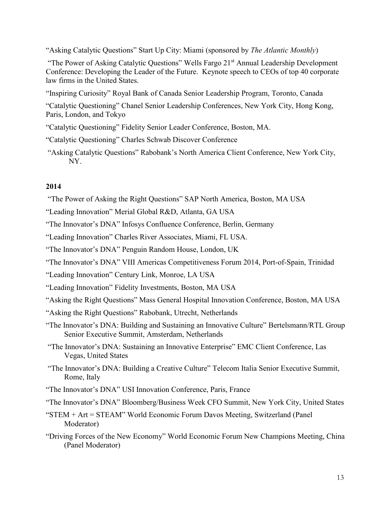"Asking Catalytic Questions" Start Up City: Miami (sponsored by *The Atlantic Monthly*)

"The Power of Asking Catalytic Questions" Wells Fargo 21<sup>st</sup> Annual Leadership Development Conference: Developing the Leader of the Future. Keynote speech to CEOs of top 40 corporate law firms in the United States.

"Inspiring Curiosity" Royal Bank of Canada Senior Leadership Program, Toronto, Canada

"Catalytic Questioning" Chanel Senior Leadership Conferences, New York City, Hong Kong, Paris, London, and Tokyo

"Catalytic Questioning" Fidelity Senior Leader Conference, Boston, MA.

- "Catalytic Questioning" Charles Schwab Discover Conference
- "Asking Catalytic Questions" Rabobank's North America Client Conference, New York City, NY.

# **2014**

"The Power of Asking the Right Questions" SAP North America, Boston, MA USA

"Leading Innovation" Merial Global R&D, Atlanta, GA USA

"The Innovator's DNA" Infosys Confluence Conference, Berlin, Germany

"Leading Innovation" Charles River Associates, Miami, FL USA.

"The Innovator's DNA" Penguin Random House, London, UK

"The Innovator's DNA" VIII Americas Competitiveness Forum 2014, Port-of-Spain, Trinidad

"Leading Innovation" Century Link, Monroe, LA USA

"Leading Innovation" Fidelity Investments, Boston, MA USA

"Asking the Right Questions" Mass General Hospital Innovation Conference, Boston, MA USA

- "Asking the Right Questions" Rabobank, Utrecht, Netherlands
- "The Innovator's DNA: Building and Sustaining an Innovative Culture" Bertelsmann/RTL Group Senior Executive Summit, Amsterdam, Netherlands

"The Innovator's DNA: Sustaining an Innovative Enterprise" EMC Client Conference, Las Vegas, United States

"The Innovator's DNA: Building a Creative Culture" Telecom Italia Senior Executive Summit, Rome, Italy

"The Innovator's DNA" USI Innovation Conference, Paris, France

"The Innovator's DNA" Bloomberg/Business Week CFO Summit, New York City, United States

"STEM + Art = STEAM" World Economic Forum Davos Meeting, Switzerland (Panel Moderator)

"Driving Forces of the New Economy" World Economic Forum New Champions Meeting, China (Panel Moderator)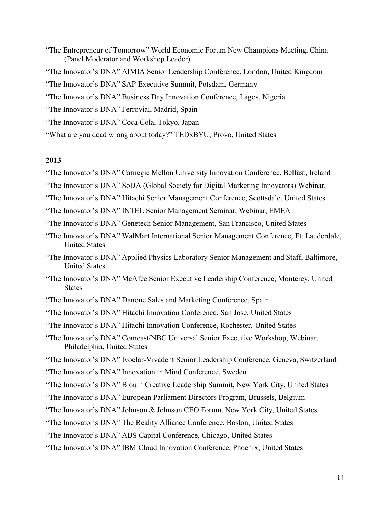- "The Entrepreneur of Tomorrow" World Economic Forum New Champions Meeting, China (Panel Moderator and Workshop Leader)
- "The Innovator's DNA" AIMIA Senior Leadership Conference, London, United Kingdom
- "The Innovator's DNA" SAP Executive Summit, Potsdam, Germany
- "The Innovator's DNA" Business Day Innovation Conference, Lagos, Nigeria
- "The Innovator's DNA" Ferrovial, Madrid, Spain
- "The Innovator's DNA" Coca Cola, Tokyo, Japan
- "What are you dead wrong about today?" TEDxBYU, Provo, United States

# **2013**

- "The Innovator's DNA" Carnegie Mellon University Innovation Conference, Belfast, Ireland
- "The Innovator's DNA" SoDA (Global Society for Digital Marketing Innovators) Webinar,
- "The Innovator's DNA" Hitachi Senior Management Conference, Scottsdale, United States
- "The Innovator's DNA" INTEL Senior Management Seminar, Webinar, EMEA
- "The Innovator's DNA" Genetech Senior Management, San Francisco, United States
- "The Innovator's DNA" WalMart International Senior Management Conference, Ft. Lauderdale, United States
- "The Innovator's DNA" Applied Physics Laboratory Senior Management and Staff, Baltimore, United States
- "The Innovator's DNA" McAfee Senior Executive Leadership Conference, Monterey, United **States**
- "The Innovator's DNA" Danone Sales and Marketing Conference, Spain
- "The Innovator's DNA" Hitachi Innovation Conference, San Jose, United States
- "The Innovator's DNA" Hitachi Innovation Conference, Rochester, United States
- "The Innovator's DNA" Comcast/NBC Universal Senior Executive Workshop, Webinar, Philadelphia, United States
- "The Innovator's DNA" Ivoclar-Vivadent Senior Leadership Conference, Geneva, Switzerland
- "The Innovator's DNA" Innovation in Mind Conference, Sweden
- "The Innovator's DNA" Blouin Creative Leadership Summit, New York City, United States
- "The Innovator's DNA" European Parliament Directors Program, Brussels, Belgium
- "The Innovator's DNA" Johnson & Johnson CEO Forum, New York City, United States
- "The Innovator's DNA" The Reality Alliance Conference, Boston, United States
- "The Innovator's DNA" ABS Capital Conference, Chicago, United States
- "The Innovator's DNA" IBM Cloud Innovation Conference, Phoenix, United States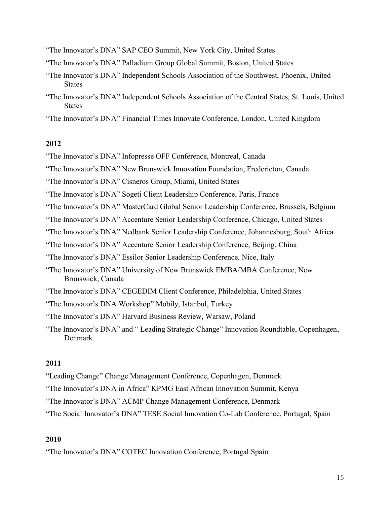"The Innovator's DNA" SAP CEO Summit, New York City, United States

"The Innovator's DNA" Palladium Group Global Summit, Boston, United States

- "The Innovator's DNA" Independent Schools Association of the Southwest, Phoenix, United States
- "The Innovator's DNA" Independent Schools Association of the Central States, St. Louis, United **States**

"The Innovator's DNA" Financial Times Innovate Conference, London, United Kingdom

# **2012**

"The Innovator's DNA" Infopresse OFF Conference, Montreal, Canada

"The Innovator's DNA" New Brunswick Innovation Foundation, Fredericton, Canada

"The Innovator's DNA" Cisneros Group, Miami, United States

"The Innovator's DNA" Sogeti Client Leadership Conference, Paris, France

"The Innovator's DNA" MasterCard Global Senior Leadership Conference, Brussels, Belgium

"The Innovator's DNA" Accenture Senior Leadership Conference, Chicago, United States

"The Innovator's DNA" Nedbank Senior Leadership Conference, Johannesburg, South Africa

"The Innovator's DNA" Accenture Senior Leadership Conference, Beijing, China

"The Innovator's DNA" Essilor Senior Leadership Conference, Nice, Italy

- "The Innovator's DNA" University of New Brunswick EMBA/MBA Conference, New Brunswick, Canada
- "The Innovator's DNA" CEGEDIM Client Conference, Philadelphia, United States
- "The Innovator's DNA Workshop" Mobily, Istanbul, Turkey
- "The Innovator's DNA" Harvard Business Review, Warsaw, Poland

"The Innovator's DNA" and " Leading Strategic Change" Innovation Roundtable, Copenhagen, Denmark

# **2011**

"Leading Change" Change Management Conference, Copenhagen, Denmark

"The Innovator's DNA in Africa" KPMG East African Innovation Summit, Kenya

"The Innovator's DNA" ACMP Change Management Conference, Denmark

"The Social Innovator's DNA" TESE Social Innovation Co-Lab Conference, Portugal, Spain

# **2010**

"The Innovator's DNA" COTEC Innovation Conference, Portugal Spain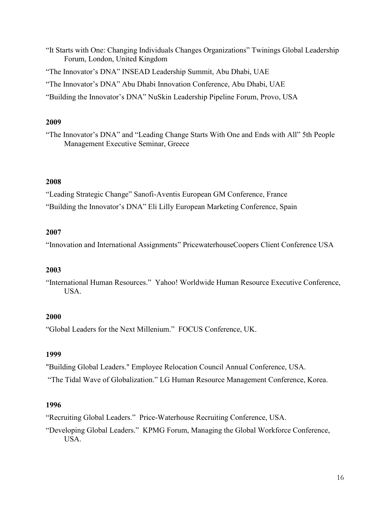"It Starts with One: Changing Individuals Changes Organizations" Twinings Global Leadership Forum, London, United Kingdom

"The Innovator's DNA" INSEAD Leadership Summit, Abu Dhabi, UAE

"The Innovator's DNA" Abu Dhabi Innovation Conference, Abu Dhabi, UAE

"Building the Innovator's DNA" NuSkin Leadership Pipeline Forum, Provo, USA

# **2009**

"The Innovator's DNA" and "Leading Change Starts With One and Ends with All" 5th People Management Executive Seminar, Greece

# **2008**

"Leading Strategic Change" Sanofi-Aventis European GM Conference, France

"Building the Innovator's DNA" Eli Lilly European Marketing Conference, Spain

# **2007**

"Innovation and International Assignments" PricewaterhouseCoopers Client Conference USA

# **2003**

"International Human Resources." Yahoo! Worldwide Human Resource Executive Conference, USA.

# **2000**

"Global Leaders for the Next Millenium." FOCUS Conference, UK.

# **1999**

"Building Global Leaders." Employee Relocation Council Annual Conference, USA.

"The Tidal Wave of Globalization." LG Human Resource Management Conference, Korea.

# **1996**

"Recruiting Global Leaders." Price-Waterhouse Recruiting Conference, USA.

"Developing Global Leaders." KPMG Forum, Managing the Global Workforce Conference, USA.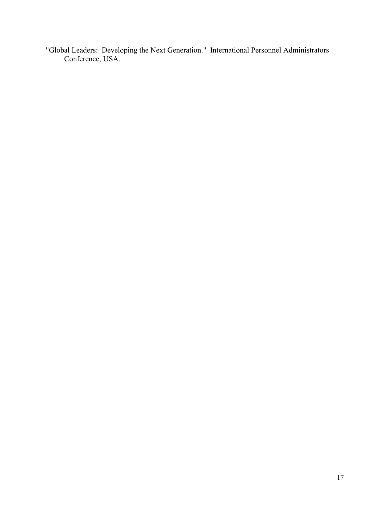"Global Leaders: Developing the Next Generation." International Personnel Administrators Conference, USA.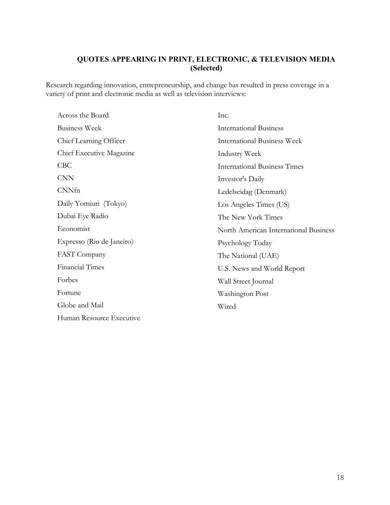# **QUOTES APPEARING IN PRINT, ELECTRONIC, & TELEVISION MEDIA (Selected)**

Research regarding innovation, entrepreneurship, and change has resulted in press coverage in a variety of print and electronic media as well as television interviews:

| Across the Board          | Inc.                                  |
|---------------------------|---------------------------------------|
| <b>Business Week</b>      | <b>International Business</b>         |
| Chief Learning Officer    | <b>International Business Week</b>    |
| Chief Executive Magazine  | Industry Week                         |
| CBC                       | <b>International Business Times</b>   |
| <b>CNN</b>                | Investor's Daily                      |
| CNNfn                     | Ledelseidag (Denmark)                 |
| Daily Yomiuri (Tokyo)     | Los Angeles Times (US)                |
| Dubai Eye Radio           | The New York Times                    |
| Economist                 | North American International Business |
| Expresso (Rio de Janeiro) | Psychology Today                      |
| FAST Company              | The National (UAE)                    |
| <b>Financial Times</b>    | U.S. News and World Report            |
| Forbes                    | Wall Street Journal                   |
| Fortune                   | Washington Post                       |
| Globe and Mail            | Wired                                 |
| Human Resource Executive  |                                       |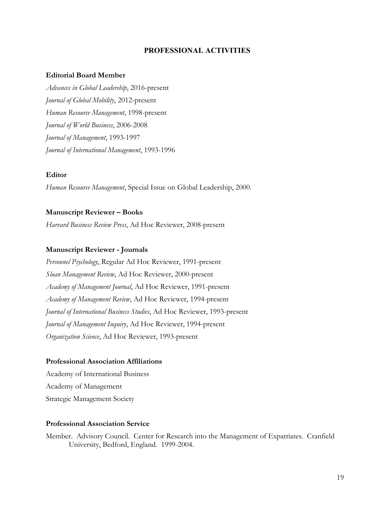### **PROFESSIONAL ACTIVITIES**

#### **Editorial Board Member**

*Advances in Global Leadership*, 2016-present *Journal of Global Mobility*, 2012-present *Human Resource Management*, 1998-present *Journal of World Business*, 2006-2008 *Journal of Management*, 1993-1997 *Journal of International Management*, 1993-1996

#### **Editor**

*Human Resource Management*, Special Issue on Global Leadership, 2000.

#### **Manuscript Reviewer – Books**

*Harvard Business Review Press*, Ad Hoc Reviewer, 2008-present

### **Manuscript Reviewer - Journals**

*Personnel Psychology*, Regular Ad Hoc Reviewer, 1991-present *Sloan Management Review*, Ad Hoc Reviewer, 2000-present *Academy of Management Journal*, Ad Hoc Reviewer, 1991-present *Academy of Management Review*, Ad Hoc Reviewer, 1994-present *Journal of International Business Studies*, Ad Hoc Reviewer, 1993-present *Journal of Management Inquiry*, Ad Hoc Reviewer, 1994-present *Organization Science*, Ad Hoc Reviewer, 1993-present

### **Professional Association Affiliations**

Academy of International Business Academy of Management Strategic Management Society

### **Professional Association Service**

Member. Advisory Council. Center for Research into the Management of Expatriates. Cranfield University, Bedford, England. 1999-2004.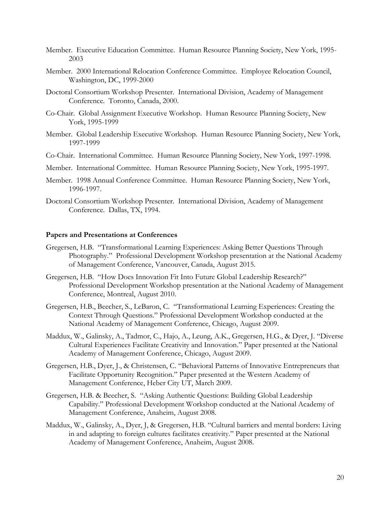- Member. Executive Education Committee. Human Resource Planning Society, New York, 1995- 2003
- Member. 2000 International Relocation Conference Committee. Employee Relocation Council, Washington, DC, 1999-2000
- Doctoral Consortium Workshop Presenter. International Division, Academy of Management Conference. Toronto, Canada, 2000.
- Co-Chair. Global Assignment Executive Workshop. Human Resource Planning Society, New York, 1995-1999
- Member. Global Leadership Executive Workshop. Human Resource Planning Society, New York, 1997-1999
- Co-Chair. International Committee. Human Resource Planning Society, New York, 1997-1998.
- Member. International Committee. Human Resource Planning Society, New York, 1995-1997.
- Member. 1998 Annual Conference Committee. Human Resource Planning Society, New York, 1996-1997.
- Doctoral Consortium Workshop Presenter. International Division, Academy of Management Conference. Dallas, TX, 1994.

#### **Papers and Presentations at Conferences**

- Gregersen, H.B. "Transformational Learning Experiences: Asking Better Questions Through Photography." Professional Development Workshop presentation at the National Academy of Management Conference, Vancouver, Canada, August 2015.
- Gregersen, H.B. "How Does Innovation Fit Into Future Global Leadership Research?" Professional Development Workshop presentation at the National Academy of Management Conference, Montreal, August 2010.
- Gregersen, H.B., Beecher, S., LeBaron, C. "Transformational Learning Experiences: Creating the Context Through Questions." Professional Development Workshop conducted at the National Academy of Management Conference, Chicago, August 2009.
- Maddux, W., Galinsky, A., Tadmor, C., Hajo, A., Leung, A.K., Gregersen, H.G., & Dyer, J. "Diverse Cultural Experiences Facilitate Creativity and Innovation." Paper presented at the National Academy of Management Conference, Chicago, August 2009.
- Gregersen, H.B., Dyer, J., & Christensen, C. "Behavioral Patterns of Innovative Entrepreneurs that Facilitate Opportunity Recognition." Paper presented at the Western Academy of Management Conference, Heber City UT, March 2009.
- Gregersen, H.B. & Beecher, S. "Asking Authentic Questions: Building Global Leadership Capability." Professional Development Workshop conducted at the National Academy of Management Conference, Anaheim, August 2008.
- Maddux, W., Galinsky, A., Dyer, J, & Gregersen, H.B. "Cultural barriers and mental borders: Living in and adapting to foreign cultures facilitates creativity." Paper presented at the National Academy of Management Conference, Anaheim, August 2008.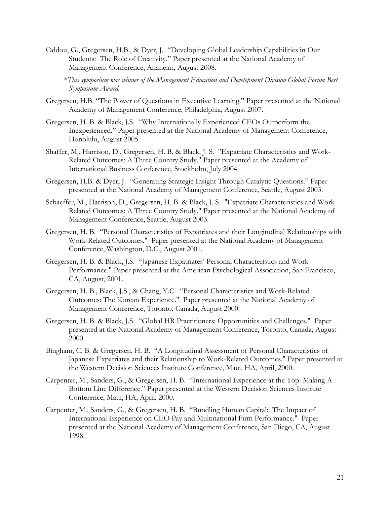Oddou, G., Gregersen, H.B., & Dyer, J. "Developing Global Leadership Capabilities in Our Students: The Role of Creativity." Paper presented at the National Academy of Management Conference, Anaheim, August 2008.

\**This symposium was winner of the Management Education and Development Division Global Forum Best Symposium Award.*

- Gregersen, H.B. "The Power of Questions in Executive Learning." Paper presented at the National Academy of Management Conference, Philadelphia, August 2007.
- Gregersen, H. B. & Black, J.S. "Why Internationally Experienced CEOs Outperform the Inexperienced." Paper presented at the National Academy of Management Conference, Honolulu, August 2005.
- Shaffer, M., Harrison, D., Gregersen, H. B. & Black, J. S. "Expatriate Characteristics and Work-Related Outcomes: A Three Country Study." Paper presented at the Academy of International Business Conference, Stockholm, July 2004.
- Gregersen, H.B. & Dyer, J. "Generating Strategic Insight Through Catalytic Questions." Paper presented at the National Academy of Management Conference, Seattle, August 2003.
- Schaeffer, M., Harrison, D., Gregersen, H. B. & Black, J. S. "Expatriate Characteristics and Work-Related Outcomes: A Three Country Study." Paper presented at the National Academy of Management Conference, Seattle, August 2003.
- Gregersen, H. B. "Personal Characteristics of Expatriates and their Longitudinal Relationships with Work-Related Outcomes." Paper presented at the National Academy of Management Conference, Washington, D.C., August 2001.
- Gregersen, H. B. & Black, J.S. "Japanese Expatriates' Personal Characteristics and Work Performance." Paper presented at the American Psychological Association, San Francisco, CA, August, 2001.
- Gregersen, H. B., Black, J.S., & Chang, Y.C. "Personal Characteristics and Work-Related Outcomes: The Korean Experience." Paper presented at the National Academy of Management Conference, Toronto, Canada, August 2000.
- Gregersen, H. B. & Black, J.S. "Global HR Practitioners: Opportunities and Challenges." Paper presented at the National Academy of Management Conference, Toronto, Canada, August 2000.
- Bingham, C. B. & Gregersen, H. B. "A Longitudinal Assessment of Personal Characteristics of Japanese Expatriates and their Relationship to Work-Related Outcomes." Paper presented at the Western Decision Sciences Institute Conference, Maui, HA, April, 2000.
- Carpenter, M., Sanders, G., & Gregersen, H. B. "International Experience at the Top: Making A Bottom Line Difference." Paper presented at the Western Decision Sciences Institute Conference, Maui, HA, April, 2000.
- Carpenter, M., Sanders, G., & Gregersen, H. B. "Bundling Human Capital: The Impact of International Experience on CEO Pay and Multinational Firm Performance." Paper presented at the National Academy of Management Conference, San Diego, CA, August 1998.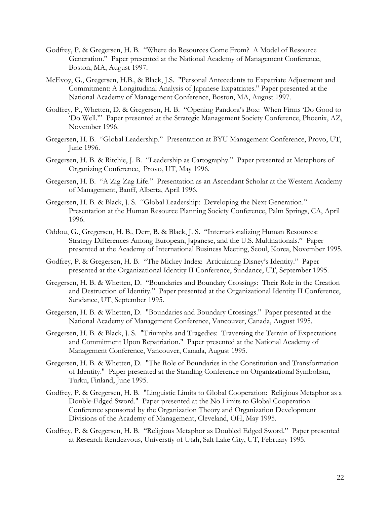- Godfrey, P. & Gregersen, H. B. "Where do Resources Come From? A Model of Resource Generation." Paper presented at the National Academy of Management Conference, Boston, MA, August 1997.
- McEvoy, G., Gregersen, H.B., & Black, J.S. "Personal Antecedents to Expatriate Adjustment and Commitment: A Longitudinal Analysis of Japanese Expatriates." Paper presented at the National Academy of Management Conference, Boston, MA, August 1997.
- Godfrey, P., Whetten, D. & Gregersen, H. B. "Opening Pandora's Box: When Firms 'Do Good to 'Do Well.'" Paper presented at the Strategic Management Society Conference, Phoenix, AZ, November 1996.
- Gregersen, H. B. "Global Leadership." Presentation at BYU Management Conference, Provo, UT, June 1996.
- Gregersen, H. B. & Ritchie, J. B. "Leadership as Cartography." Paper presented at Metaphors of Organizing Conference, Provo, UT, May 1996.
- Gregersen, H. B. "A Zig-Zag Life." Presentation as an Ascendant Scholar at the Western Academy of Management, Banff, Alberta, April 1996.
- Gregersen, H. B. & Black, J. S. "Global Leadership: Developing the Next Generation." Presentation at the Human Resource Planning Society Conference, Palm Springs, CA, April 1996.
- Oddou, G., Gregersen, H. B., Derr, B. & Black, J. S. "Internationalizing Human Resources: Strategy Differences Among European, Japanese, and the U.S. Multinationals." Paper presented at the Academy of International Business Meeting, Seoul, Korea, November 1995.
- Godfrey, P. & Gregersen, H. B. "The Mickey Index: Articulating Disney's Identity." Paper presented at the Organizational Identity II Conference, Sundance, UT, September 1995.
- Gregersen, H. B. & Whetten, D. "Boundaries and Boundary Crossings: Their Role in the Creation and Destruction of Identity." Paper presented at the Organizational Identity II Conference, Sundance, UT, September 1995.
- Gregersen, H. B. & Whetten, D. "Boundaries and Boundary Crossings." Paper presented at the National Academy of Management Conference, Vancouver, Canada, August 1995.
- Gregersen, H. B. & Black, J. S. "Triumphs and Tragedies: Traversing the Terrain of Expectations and Commitment Upon Repatriation." Paper presented at the National Academy of Management Conference, Vancouver, Canada, August 1995.
- Gregersen, H. B. & Whetten, D. "The Role of Boundaries in the Constitution and Transformation of Identity." Paper presented at the Standing Conference on Organizational Symbolism, Turku, Finland, June 1995.
- Godfrey, P. & Gregersen, H. B. "Linguistic Limits to Global Cooperation: Religious Metaphor as a Double-Edged Sword." Paper presented at the No Limits to Global Cooperation Conference sponsored by the Organization Theory and Organization Development Divisions of the Academy of Management, Cleveland, OH, May 1995.
- Godfrey, P. & Gregersen, H. B. "Religious Metaphor as Doubled Edged Sword." Paper presented at Research Rendezvous, Universtiy of Utah, Salt Lake City, UT, February 1995.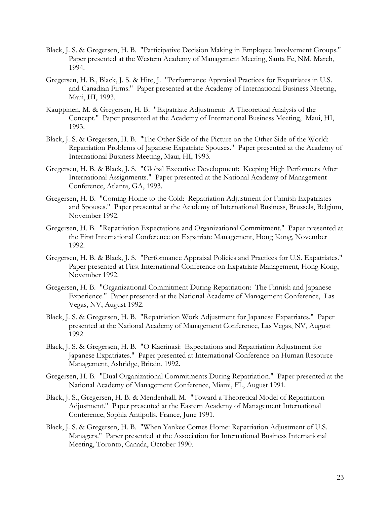- Black, J. S. & Gregersen, H. B. "Participative Decision Making in Employee Involvement Groups." Paper presented at the Western Academy of Management Meeting, Santa Fe, NM, March, 1994.
- Gregersen, H. B., Black, J. S. & Hite, J. "Performance Appraisal Practices for Expatriates in U.S. and Canadian Firms." Paper presented at the Academy of International Business Meeting, Maui, HI, 1993.
- Kauppinen, M. & Gregersen, H. B. "Expatriate Adjustment: A Theoretical Analysis of the Concept." Paper presented at the Academy of International Business Meeting, Maui, HI, 1993.
- Black, J. S. & Gregersen, H. B. "The Other Side of the Picture on the Other Side of the World: Repatriation Problems of Japanese Expatriate Spouses." Paper presented at the Academy of International Business Meeting, Maui, HI, 1993.
- Gregersen, H. B. & Black, J. S. "Global Executive Development: Keeping High Performers After International Assignments." Paper presented at the National Academy of Management Conference, Atlanta, GA, 1993.
- Gregersen, H. B. "Coming Home to the Cold: Repatriation Adjustment for Finnish Expatriates and Spouses." Paper presented at the Academy of International Business, Brussels, Belgium, November 1992.
- Gregersen, H. B. "Repatriation Expectations and Organizational Commitment." Paper presented at the First International Conference on Expatriate Management, Hong Kong, November 1992.
- Gregersen, H. B. & Black, J. S. "Performance Appraisal Policies and Practices for U.S. Expatriates." Paper presented at First International Conference on Expatriate Management, Hong Kong, November 1992.
- Gregersen, H. B. "Organizational Commitment During Repatriation: The Finnish and Japanese Experience." Paper presented at the National Academy of Management Conference, Las Vegas, NV, August 1992.
- Black, J. S. & Gregersen, H. B. "Repatriation Work Adjustment for Japanese Expatriates." Paper presented at the National Academy of Management Conference, Las Vegas, NV, August 1992.
- Black, J. S. & Gregersen, H. B. "O Kaerinasi: Expectations and Repatriation Adjustment for Japanese Expatriates." Paper presented at International Conference on Human Resource Management, Ashridge, Britain, 1992.
- Gregersen, H. B. "Dual Organizational Commitments During Repatriation." Paper presented at the National Academy of Management Conference, Miami, FL, August 1991.
- Black, J. S., Gregersen, H. B. & Mendenhall, M. "Toward a Theoretical Model of Repatriation Adjustment." Paper presented at the Eastern Academy of Management International Conference, Sophia Antipolis, France, June 1991.
- Black, J. S. & Gregersen, H. B. "When Yankee Comes Home: Repatriation Adjustment of U.S. Managers." Paper presented at the Association for International Business International Meeting, Toronto, Canada, October 1990.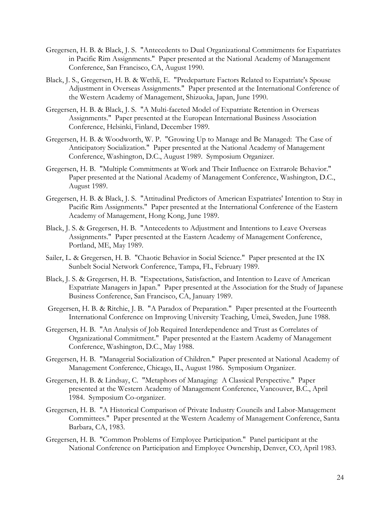- Gregersen, H. B. & Black, J. S. "Antecedents to Dual Organizational Commitments for Expatriates in Pacific Rim Assignments." Paper presented at the National Academy of Management Conference, San Francisco, CA, August 1990.
- Black, J. S., Gregersen, H. B. & Wethli, E. "Predeparture Factors Related to Expatriate's Spouse Adjustment in Overseas Assignments." Paper presented at the International Conference of the Western Academy of Management, Shizuoka, Japan, June 1990.
- Gregersen, H. B. & Black, J. S. "A Multi-faceted Model of Expatriate Retention in Overseas Assignments." Paper presented at the European International Business Association Conference, Helsinki, Finland, December 1989.
- Gregersen, H. B. & Woodworth, W. P. "Growing Up to Manage and Be Managed: The Case of Anticipatory Socialization." Paper presented at the National Academy of Management Conference, Washington, D.C., August 1989. Symposium Organizer.
- Gregersen, H. B. "Multiple Commitments at Work and Their Influence on Extrarole Behavior." Paper presented at the National Academy of Management Conference, Washington, D.C., August 1989.
- Gregersen, H. B. & Black, J. S. "Attitudinal Predictors of American Expatriates' Intention to Stay in Pacific Rim Assignments." Paper presented at the International Conference of the Eastern Academy of Management, Hong Kong, June 1989.
- Black, J. S. & Gregersen, H. B. "Antecedents to Adjustment and Intentions to Leave Overseas Assignments." Paper presented at the Eastern Academy of Management Conference, Portland, ME, May 1989.
- Sailer, L. & Gregersen, H. B. "Chaotic Behavior in Social Science." Paper presented at the IX Sunbelt Social Network Conference, Tampa, FL, February 1989.
- Black, J. S. & Gregersen, H. B. "Expectations, Satisfaction, and Intention to Leave of American Expatriate Managers in Japan." Paper presented at the Association for the Study of Japanese Business Conference, San Francisco, CA, January 1989.
- Gregersen, H. B. & Ritchie, J. B. "A Paradox of Preparation." Paper presented at the Fourteenth International Conference on Improving University Teaching, Umeä, Sweden, June 1988.
- Gregersen, H. B. "An Analysis of Job Required Interdependence and Trust as Correlates of Organizational Commitment." Paper presented at the Eastern Academy of Management Conference, Washington, D.C., May 1988.
- Gregersen, H. B. "Managerial Socialization of Children." Paper presented at National Academy of Management Conference, Chicago, IL, August 1986. Symposium Organizer.
- Gregersen, H. B. & Lindsay, C. "Metaphors of Managing: A Classical Perspective." Paper presented at the Western Academy of Management Conference, Vancouver, B.C., April 1984. Symposium Co-organizer.
- Gregersen, H. B. "A Historical Comparison of Private Industry Councils and Labor-Management Committees." Paper presented at the Western Academy of Management Conference, Santa Barbara, CA, 1983.
- Gregersen, H. B. "Common Problems of Employee Participation." Panel participant at the National Conference on Participation and Employee Ownership, Denver, CO, April 1983.